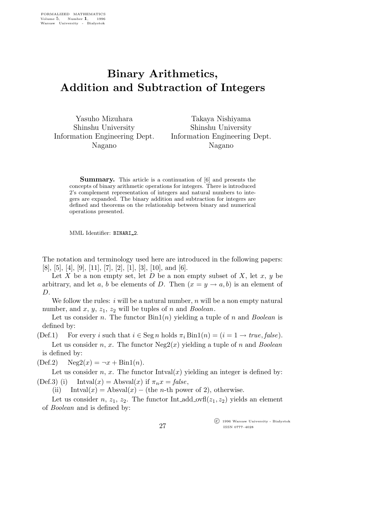## Binary Arithmetics, Addition and Subtraction of Integers

Yasuho Mizuhara Shinshu University Information Engineering Dept. Nagano

Takaya Nishiyama Shinshu University Information Engineering Dept. Nagano

Summary. This article is a continuation of [6] and presents the concepts of binary arithmetic operations for integers. There is introduced 2's complement representation of integers and natural numbers to integers are expanded. The binary addition and subtraction for integers are defined and theorems on the relationship between binary and numerical operations presented.

MML Identifier: BINARI 2.

The notation and terminology used here are introduced in the following papers:  $[8], [5], [4], [9], [11], [7], [2], [1], [3], [10], \text{and } [6].$ 

Let  $X$  be a non empty set, let  $D$  be a non empty subset of  $X$ , let  $x, y$  be arbitrary, and let a, b be elements of D. Then  $(x = y \rightarrow a, b)$  is an element of D.

We follow the rules: i will be a natural number, n will be a non empty natural number, and x, y,  $z_1$ ,  $z_2$  will be tuples of n and *Boolean*.

Let us consider n. The functor  $\text{Bin}(n)$  yielding a tuple of n and *Boolean* is defined by:

(Def.1) For every i such that  $i \in \text{Seg } n$  holds  $\pi_i \text{Bin1}(n) = (i = 1 \rightarrow true, false).$ 

Let us consider n, x. The functor  $Neg2(x)$  yielding a tuple of n and *Boolean* is defined by:

 $(Def.2) \qquad Neg2(x) = \neg x + Bin1(n).$ 

Let us consider n, x. The functor  $Intval(x)$  yielding an integer is defined by: (Def.3) (i) Intval $(x)$  = Absval $(x)$  if  $\pi_n x = false$ ,

(ii) Intval $(x) =$ Absval $(x) -$ (the *n*-th power of 2), otherwise.

Let us consider n,  $z_1$ ,  $z_2$ . The functor Int\_add\_ovfl( $z_1$ ,  $z_2$ ) yields an element of Boolean and is defined by:

> $\overline{\text{C}}$  1996 Warsaw University - Białystok ISSN 0777–4028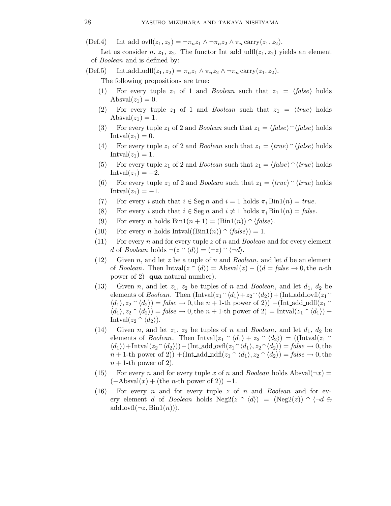$(\text{Def.4})$  Int\_add\_ovfl $(z_1, z_2) = \neg \pi_n z_1 \wedge \neg \pi_n z_2 \wedge \pi_n \text{ carry}(z_1, z_2).$ 

Let us consider n,  $z_1$ ,  $z_2$ . The functor Int add udfl( $z_1$ ,  $z_2$ ) yields an element of Boolean and is defined by:

 $(Def.5)$  Int\_add\_udfl $(z_1, z_2) = \pi_n z_1 \wedge \pi_n z_2 \wedge \neg \pi_n \text{ carry}(z_1, z_2).$ 

The following propositions are true:

- (1) For every tuple  $z_1$  of 1 and *Boolean* such that  $z_1 = \langle false \rangle$  holds Absval $(z_1) = 0$ .
- (2) For every tuple  $z_1$  of 1 and *Boolean* such that  $z_1 = \langle true \rangle$  holds  $\text{Absval}(z_1) = 1.$
- (3) For every tuple  $z_1$  of 2 and *Boolean* such that  $z_1 = \langle false \rangle \cap \langle false \rangle$  holds  $Intval(z_1)=0.$
- (4) For every tuple  $z_1$  of 2 and *Boolean* such that  $z_1 = \langle true \rangle \cap \langle false \rangle$  holds  $Intval(z_1)=1.$
- (5) For every tuple  $z_1$  of 2 and *Boolean* such that  $z_1 = \langle false \rangle \cap \langle true \rangle$  holds Intval $(z_1) = -2$ .
- (6) For every tuple  $z_1$  of 2 and *Boolean* such that  $z_1 = \langle true \rangle \cap \langle true \rangle$  holds  $Intval(z_1) = -1.$
- (7) For every i such that  $i \in \text{Seg } n$  and  $i = 1$  holds  $\pi_i \text{Bin}(n) = true$ .
- (8) For every i such that  $i \in \text{Seg } n$  and  $i \neq 1$  holds  $\pi_i \text{Bin1}(n) = \text{false}$ .
- (9) For every *n* holds  $Bin1(n + 1) = (Bin1(n)) \cap \langle false \rangle$ .
- (10) For every *n* holds  $Intval((Bin1(n)) \cap \langle false \rangle) = 1.$
- (11) For every n and for every tuple z of n and Boolean and for every element d of Boolean holds  $\neg(z \cap \langle d \rangle) = (\neg z) \cap \langle \neg d \rangle$ .
- (12) Given n, and let z be a tuple of n and Boolean, and let d be an element of Boolean. Then Intval $(z \cap d) =$ Absval $(z) - ((d = false \rightarrow 0,$ the n-th power of 2) qua natural number).
- (13) Given n, and let  $z_1$ ,  $z_2$  be tuples of n and *Boolean*, and let  $d_1$ ,  $d_2$  be elements of *Boolean*. Then  $\left(\text{Intval}(z_1 \hat{\;} \langle d_1 \rangle + z_2 \hat{\;} \langle d_2 \rangle\right) + \left(\text{Int-add}\_{\text{ovfl}}(z_1 \hat{\;} \langle d_1 \rangle + z_2 \hat{\;} \langle d_2 \rangle\right)$  $\langle d_1 \rangle, z_2 \cap \langle d_2 \rangle$  = false  $\rightarrow 0$ , the n + 1-th power of 2)) −(Int add udfl(z<sub>1</sub>  $\langle d_1 \rangle$ ,  $z_2 \cap \langle d_2 \rangle$  = false  $\rightarrow 0$ , the n + 1-th power of 2) = Intval( $z_1 \cap \langle d_1 \rangle$ ) + Intval $(z_2 \cap \langle d_2 \rangle)$ .
- (14) Given n, and let  $z_1$ ,  $z_2$  be tuples of n and *Boolean*, and let  $d_1$ ,  $d_2$  be elements of *Boolean*. Then Intval $(z_1 \cap \langle d_1 \rangle + z_2 \cap \langle d_2 \rangle) = ((\text{Intval}(z_1 \cap$  $\langle d_1 \rangle$  + Intval $(z_2 \hat{\ } \langle d_2 \rangle)$ ) – (Int\_add\_ovfl( $z_1 \hat{\ } \langle d_1 \rangle, z_2 \hat{\ } \langle d_2 \rangle$ ) = false  $\rightarrow 0$ , the  $n + 1$ -th power of 2)) +(Int\_add\_udfl(z<sub>1</sub>  $\hat{d}_1$ , z<sub>2</sub>  $\hat{d}_2$ ) = false  $\rightarrow$  0, the  $n + 1$ -th power of 2).
- (15) For every n and for every tuple x of n and Boolean holds Absval( $\neg x$ ) =  $(-\text{Absval}(x) + (\text{the } n\text{-th power of } 2)) - 1.$
- (16) For every n and for every tuple z of n and Boolean and for every element d of Boolean holds  $Neg2(z \cap \langle d \rangle) = (Neg2(z)) \cap \langle \neg d \oplus$ add ovf $(\neg z, \text{Bin1}(n))$ .